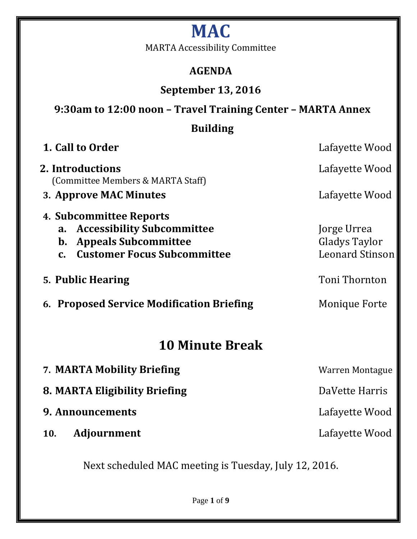# **MAC**

MARTA Accessibility Committee

# **AGENDA**

# **September 13, 2016**

# **9:30am to 12:00 noon – Travel Training Center – MARTA Annex**

# **Building**

| 1. Call to Order                                                                                                                                                | Lafayette Wood                                         |
|-----------------------------------------------------------------------------------------------------------------------------------------------------------------|--------------------------------------------------------|
| 2. Introductions<br>(Committee Members & MARTA Staff)                                                                                                           | Lafayette Wood                                         |
| 3. Approve MAC Minutes                                                                                                                                          | Lafayette Wood                                         |
| 4. Subcommittee Reports<br><b>Accessibility Subcommittee</b><br>a.<br><b>Appeals Subcommittee</b><br>b.<br><b>Customer Focus Subcommittee</b><br>$\mathbf{C}$ . | Jorge Urrea<br>Gladys Taylor<br><b>Leonard Stinson</b> |
| 5. Public Hearing                                                                                                                                               | Toni Thornton                                          |
| 6. Proposed Service Modification Briefing                                                                                                                       | <b>Monique Forte</b>                                   |
| <b>10 Minute Break</b>                                                                                                                                          |                                                        |
| 7. MARTA Mobility Briefing                                                                                                                                      | <b>Warren Montague</b>                                 |
| 8. MARTA Eligibility Briefing                                                                                                                                   | DaVette Harris                                         |
| 9. Announcements                                                                                                                                                | Lafayette Wood                                         |

**10. Adjournment** Lafayette Wood

Next scheduled MAC meeting is Tuesday, July 12, 2016.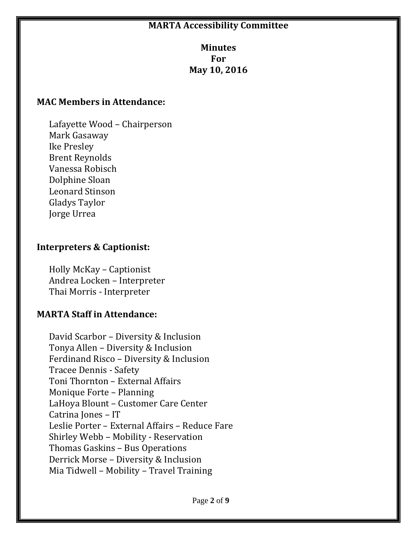#### **MARTA Accessibility Committee**

#### **Minutes For May 10, 2016**

#### **MAC Members in Attendance:**

Lafayette Wood – Chairperson Mark Gasaway Ike Presley Brent Reynolds Vanessa Robisch Dolphine Sloan Leonard Stinson Gladys Taylor Jorge Urrea

#### **Interpreters & Captionist:**

Holly McKay – Captionist Andrea Locken – Interpreter Thai Morris - Interpreter

#### **MARTA Staff in Attendance:**

David Scarbor – Diversity & Inclusion Tonya Allen – Diversity & Inclusion Ferdinand Risco – Diversity & Inclusion Tracee Dennis - Safety Toni Thornton – External Affairs Monique Forte – Planning LaHoya Blount – Customer Care Center Catrina Jones – IT Leslie Porter – External Affairs – Reduce Fare Shirley Webb – Mobility - Reservation Thomas Gaskins – Bus Operations Derrick Morse – Diversity & Inclusion Mia Tidwell – Mobility – Travel Training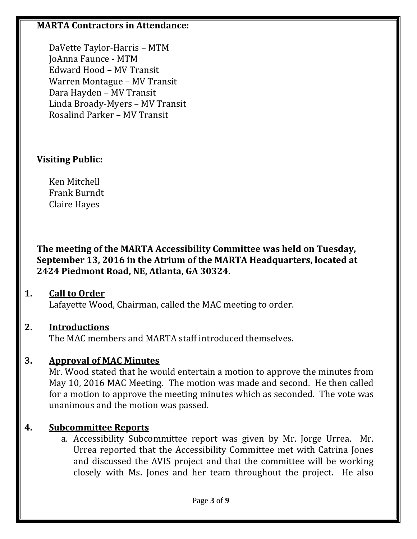#### **MARTA Contractors in Attendance:**

DaVette Taylor-Harris – MTM JoAnna Faunce - MTM Edward Hood – MV Transit Warren Montague – MV Transit Dara Hayden – MV Transit Linda Broady-Myers – MV Transit Rosalind Parker – MV Transit

### **Visiting Public:**

Ken Mitchell Frank Burndt Claire Hayes

**The meeting of the MARTA Accessibility Committee was held on Tuesday, September 13, 2016 in the Atrium of the MARTA Headquarters, located at 2424 Piedmont Road, NE, Atlanta, GA 30324.**

### **1. Call to Order**

Lafayette Wood, Chairman, called the MAC meeting to order.

## **2. Introductions**

The MAC members and MARTA staff introduced themselves.

## **3. Approval of MAC Minutes**

Mr. Wood stated that he would entertain a motion to approve the minutes from May 10, 2016 MAC Meeting. The motion was made and second. He then called for a motion to approve the meeting minutes which as seconded. The vote was unanimous and the motion was passed.

## **4. Subcommittee Reports**

a. Accessibility Subcommittee report was given by Mr. Jorge Urrea. Mr. Urrea reported that the Accessibility Committee met with Catrina Jones and discussed the AVIS project and that the committee will be working closely with Ms. Jones and her team throughout the project. He also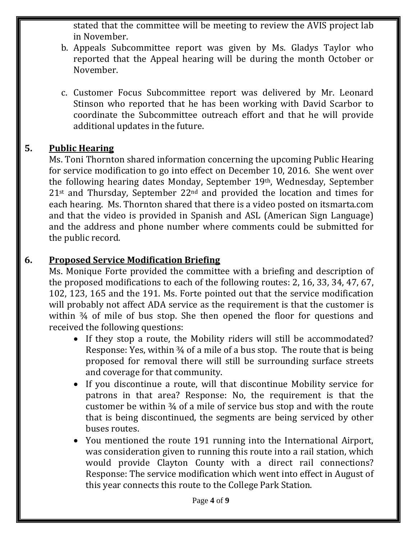stated that the committee will be meeting to review the AVIS project lab in November.

- b. Appeals Subcommittee report was given by Ms. Gladys Taylor who reported that the Appeal hearing will be during the month October or November.
- c. Customer Focus Subcommittee report was delivered by Mr. Leonard Stinson who reported that he has been working with David Scarbor to coordinate the Subcommittee outreach effort and that he will provide additional updates in the future.

#### **5. Public Hearing**

Ms. Toni Thornton shared information concerning the upcoming Public Hearing for service modification to go into effect on December 10, 2016. She went over the following hearing dates Monday, September 19th, Wednesday, September  $21$ <sup>st</sup> and Thursday, September  $22<sup>nd</sup>$  and provided the location and times for each hearing. Ms. Thornton shared that there is a video posted on itsmarta.com and that the video is provided in Spanish and ASL (American Sign Language) and the address and phone number where comments could be submitted for the public record.

#### **6. Proposed Service Modification Briefing**

Ms. Monique Forte provided the committee with a briefing and description of the proposed modifications to each of the following routes: 2, 16, 33, 34, 47, 67, 102, 123, 165 and the 191. Ms. Forte pointed out that the service modification will probably not affect ADA service as the requirement is that the customer is within  $\frac{3}{4}$  of mile of bus stop. She then opened the floor for questions and received the following questions:

- If they stop a route, the Mobility riders will still be accommodated? Response: Yes, within 34 of a mile of a bus stop. The route that is being proposed for removal there will still be surrounding surface streets and coverage for that community.
- If you discontinue a route, will that discontinue Mobility service for patrons in that area? Response: No, the requirement is that the customer be within ¾ of a mile of service bus stop and with the route that is being discontinued, the segments are being serviced by other buses routes.
- You mentioned the route 191 running into the International Airport, was consideration given to running this route into a rail station, which would provide Clayton County with a direct rail connections? Response: The service modification which went into effect in August of this year connects this route to the College Park Station.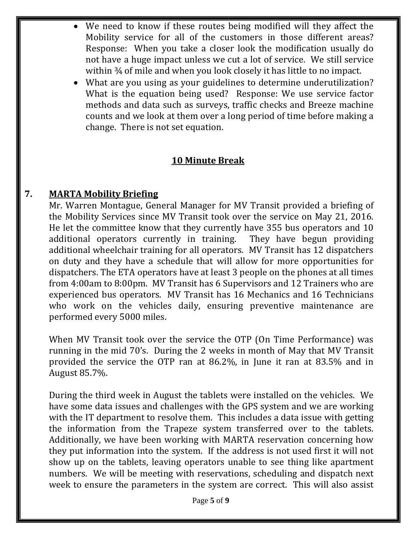- We need to know if these routes being modified will they affect the Mobility service for all of the customers in those different areas? Response: When you take a closer look the modification usually do not have a huge impact unless we cut a lot of service. We still service within ¾ of mile and when you look closely it has little to no impact.
- What are you using as your guidelines to determine underutilization? What is the equation being used? Response: We use service factor methods and data such as surveys, traffic checks and Breeze machine counts and we look at them over a long period of time before making a change. There is not set equation.

### **10 Minute Break**

### **7. MARTA Mobility Briefing**

Mr. Warren Montague, General Manager for MV Transit provided a briefing of the Mobility Services since MV Transit took over the service on May 21, 2016. He let the committee know that they currently have 355 bus operators and 10 additional operators currently in training. They have begun providing additional wheelchair training for all operators. MV Transit has 12 dispatchers on duty and they have a schedule that will allow for more opportunities for dispatchers. The ETA operators have at least 3 people on the phones at all times from 4:00am to 8:00pm. MV Transit has 6 Supervisors and 12 Trainers who are experienced bus operators. MV Transit has 16 Mechanics and 16 Technicians who work on the vehicles daily, ensuring preventive maintenance are performed every 5000 miles.

When MV Transit took over the service the OTP (On Time Performance) was running in the mid 70's. During the 2 weeks in month of May that MV Transit provided the service the OTP ran at 86.2%, in June it ran at 83.5% and in August 85.7%.

During the third week in August the tablets were installed on the vehicles. We have some data issues and challenges with the GPS system and we are working with the IT department to resolve them. This includes a data issue with getting the information from the Trapeze system transferred over to the tablets. Additionally, we have been working with MARTA reservation concerning how they put information into the system. If the address is not used first it will not show up on the tablets, leaving operators unable to see thing like apartment numbers. We will be meeting with reservations, scheduling and dispatch next week to ensure the parameters in the system are correct. This will also assist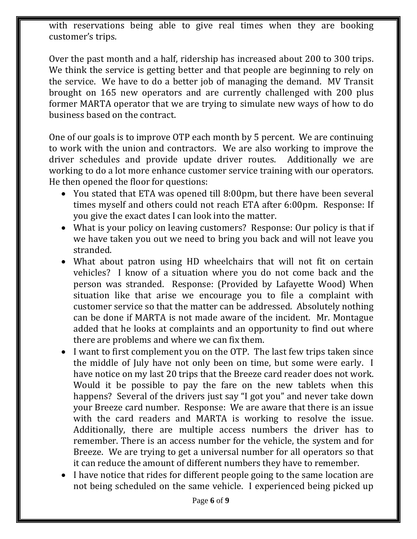with reservations being able to give real times when they are booking customer's trips.

Over the past month and a half, ridership has increased about 200 to 300 trips. We think the service is getting better and that people are beginning to rely on the service. We have to do a better job of managing the demand. MV Transit brought on 165 new operators and are currently challenged with 200 plus former MARTA operator that we are trying to simulate new ways of how to do business based on the contract.

One of our goals is to improve OTP each month by 5 percent. We are continuing to work with the union and contractors. We are also working to improve the driver schedules and provide update driver routes. Additionally we are working to do a lot more enhance customer service training with our operators. He then opened the floor for questions:

- You stated that ETA was opened till 8:00pm, but there have been several times myself and others could not reach ETA after 6:00pm. Response: If you give the exact dates I can look into the matter.
- What is your policy on leaving customers? Response: Our policy is that if we have taken you out we need to bring you back and will not leave you stranded.
- What about patron using HD wheelchairs that will not fit on certain vehicles? I know of a situation where you do not come back and the person was stranded. Response: (Provided by Lafayette Wood) When situation like that arise we encourage you to file a complaint with customer service so that the matter can be addressed. Absolutely nothing can be done if MARTA is not made aware of the incident. Mr. Montague added that he looks at complaints and an opportunity to find out where there are problems and where we can fix them.
- I want to first complement you on the OTP. The last few trips taken since the middle of July have not only been on time, but some were early. I have notice on my last 20 trips that the Breeze card reader does not work. Would it be possible to pay the fare on the new tablets when this happens? Several of the drivers just say "I got you" and never take down your Breeze card number. Response: We are aware that there is an issue with the card readers and MARTA is working to resolve the issue. Additionally, there are multiple access numbers the driver has to remember. There is an access number for the vehicle, the system and for Breeze. We are trying to get a universal number for all operators so that it can reduce the amount of different numbers they have to remember.
- I have notice that rides for different people going to the same location are not being scheduled on the same vehicle. I experienced being picked up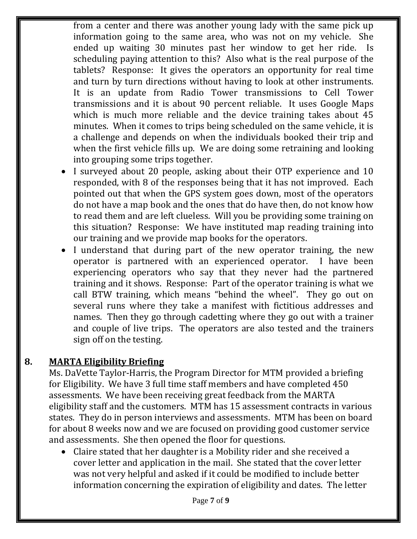from a center and there was another young lady with the same pick up information going to the same area, who was not on my vehicle. She ended up waiting 30 minutes past her window to get her ride. Is scheduling paying attention to this? Also what is the real purpose of the tablets? Response: It gives the operators an opportunity for real time and turn by turn directions without having to look at other instruments. It is an update from Radio Tower transmissions to Cell Tower transmissions and it is about 90 percent reliable. It uses Google Maps which is much more reliable and the device training takes about 45 minutes. When it comes to trips being scheduled on the same vehicle, it is a challenge and depends on when the individuals booked their trip and when the first vehicle fills up. We are doing some retraining and looking into grouping some trips together.

- I surveyed about 20 people, asking about their OTP experience and 10 responded, with 8 of the responses being that it has not improved. Each pointed out that when the GPS system goes down, most of the operators do not have a map book and the ones that do have then, do not know how to read them and are left clueless. Will you be providing some training on this situation? Response: We have instituted map reading training into our training and we provide map books for the operators.
- I understand that during part of the new operator training, the new operator is partnered with an experienced operator. I have been experiencing operators who say that they never had the partnered training and it shows. Response: Part of the operator training is what we call BTW training, which means "behind the wheel". They go out on several runs where they take a manifest with fictitious addresses and names. Then they go through cadetting where they go out with a trainer and couple of live trips. The operators are also tested and the trainers sign off on the testing.

### **8. MARTA Eligibility Briefing**

Ms. DaVette Taylor-Harris, the Program Director for MTM provided a briefing for Eligibility. We have 3 full time staff members and have completed 450 assessments. We have been receiving great feedback from the MARTA eligibility staff and the customers. MTM has 15 assessment contracts in various states. They do in person interviews and assessments. MTM has been on board for about 8 weeks now and we are focused on providing good customer service and assessments. She then opened the floor for questions.

 Claire stated that her daughter is a Mobility rider and she received a cover letter and application in the mail. She stated that the cover letter was not very helpful and asked if it could be modified to include better information concerning the expiration of eligibility and dates. The letter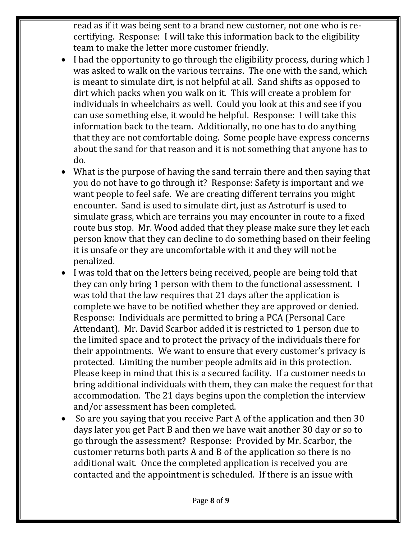read as if it was being sent to a brand new customer, not one who is recertifying. Response: I will take this information back to the eligibility team to make the letter more customer friendly.

- I had the opportunity to go through the eligibility process, during which I was asked to walk on the various terrains. The one with the sand, which is meant to simulate dirt, is not helpful at all. Sand shifts as opposed to dirt which packs when you walk on it. This will create a problem for individuals in wheelchairs as well. Could you look at this and see if you can use something else, it would be helpful. Response: I will take this information back to the team. Additionally, no one has to do anything that they are not comfortable doing. Some people have express concerns about the sand for that reason and it is not something that anyone has to do.
- What is the purpose of having the sand terrain there and then saying that you do not have to go through it? Response: Safety is important and we want people to feel safe. We are creating different terrains you might encounter. Sand is used to simulate dirt, just as Astroturf is used to simulate grass, which are terrains you may encounter in route to a fixed route bus stop. Mr. Wood added that they please make sure they let each person know that they can decline to do something based on their feeling it is unsafe or they are uncomfortable with it and they will not be penalized.
- I was told that on the letters being received, people are being told that they can only bring 1 person with them to the functional assessment. I was told that the law requires that 21 days after the application is complete we have to be notified whether they are approved or denied. Response: Individuals are permitted to bring a PCA (Personal Care Attendant). Mr. David Scarbor added it is restricted to 1 person due to the limited space and to protect the privacy of the individuals there for their appointments. We want to ensure that every customer's privacy is protected. Limiting the number people admits aid in this protection. Please keep in mind that this is a secured facility. If a customer needs to bring additional individuals with them, they can make the request for that accommodation. The 21 days begins upon the completion the interview and/or assessment has been completed.
- So are you saying that you receive Part A of the application and then 30 days later you get Part B and then we have wait another 30 day or so to go through the assessment? Response: Provided by Mr. Scarbor, the customer returns both parts A and B of the application so there is no additional wait. Once the completed application is received you are contacted and the appointment is scheduled. If there is an issue with